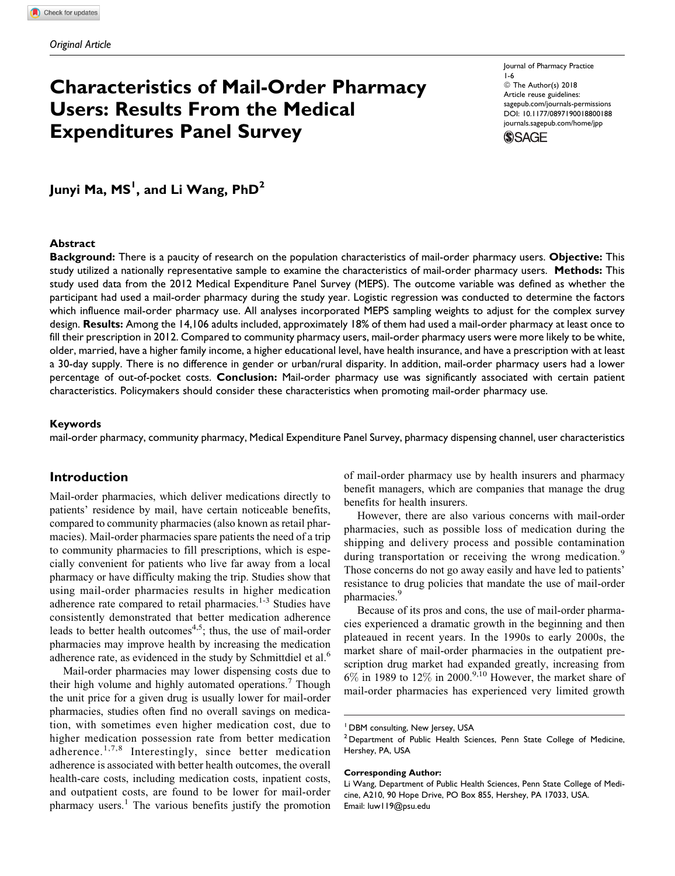# Characteristics of Mail-Order Pharmacy Users: Results From the Medical Expenditures Panel Survey

Journal of Pharmacy Practice 1-6 © The Author(s) 2018 Article reuse guidelines: [sagepub.com/journals-permissions](https://sagepub.com/journals-permissions) [DOI: 10.1177/0897190018800188](https://doi.org/10.1177/0897190018800188) [journals.sagepub.com/home/jpp](http://journals.sagepub.com/home/jpp)



Junyi Ma, MS<sup>I</sup>, and Li Wang, PhD<sup>2</sup>

#### **Abstract**

Background: There is a paucity of research on the population characteristics of mail-order pharmacy users. Objective: This study utilized a nationally representative sample to examine the characteristics of mail-order pharmacy users. Methods: This study used data from the 2012 Medical Expenditure Panel Survey (MEPS). The outcome variable was defined as whether the participant had used a mail-order pharmacy during the study year. Logistic regression was conducted to determine the factors which influence mail-order pharmacy use. All analyses incorporated MEPS sampling weights to adjust for the complex survey design. Results: Among the 14,106 adults included, approximately 18% of them had used a mail-order pharmacy at least once to fill their prescription in 2012. Compared to community pharmacy users, mail-order pharmacy users were more likely to be white, older, married, have a higher family income, a higher educational level, have health insurance, and have a prescription with at least a 30-day supply. There is no difference in gender or urban/rural disparity. In addition, mail-order pharmacy users had a lower percentage of out-of-pocket costs. Conclusion: Mail-order pharmacy use was significantly associated with certain patient characteristics. Policymakers should consider these characteristics when promoting mail-order pharmacy use.

#### Keywords

mail-order pharmacy, community pharmacy, Medical Expenditure Panel Survey, pharmacy dispensing channel, user characteristics

### Introduction

Mail-order pharmacies, which deliver medications directly to patients' residence by mail, have certain noticeable benefits, compared to community pharmacies (also known as retail pharmacies). Mail-order pharmacies spare patients the need of a trip to community pharmacies to fill prescriptions, which is especially convenient for patients who live far away from a local pharmacy or have difficulty making the trip. Studies show that using mail-order pharmacies results in higher medication adherence rate compared to retail pharmacies.<sup>1-3</sup> Studies have consistently demonstrated that better medication adherence leads to better health outcomes<sup>4,5</sup>; thus, the use of mail-order pharmacies may improve health by increasing the medication adherence rate, as evidenced in the study by Schmittdiel et al. $<sup>6</sup>$ </sup>

Mail-order pharmacies may lower dispensing costs due to their high volume and highly automated operations.<sup>7</sup> Though the unit price for a given drug is usually lower for mail-order pharmacies, studies often find no overall savings on medication, with sometimes even higher medication cost, due to higher medication possession rate from better medication adherence.<sup>1,7,8</sup> Interestingly, since better medication adherence is associated with better health outcomes, the overall health-care costs, including medication costs, inpatient costs, and outpatient costs, are found to be lower for mail-order pharmacy users.<sup>1</sup> The various benefits justify the promotion of mail-order pharmacy use by health insurers and pharmacy benefit managers, which are companies that manage the drug benefits for health insurers.

However, there are also various concerns with mail-order pharmacies, such as possible loss of medication during the shipping and delivery process and possible contamination during transportation or receiving the wrong medication.<sup>9</sup> Those concerns do not go away easily and have led to patients' resistance to drug policies that mandate the use of mail-order pharmacies.<sup>9</sup>

Because of its pros and cons, the use of mail-order pharmacies experienced a dramatic growth in the beginning and then plateaued in recent years. In the 1990s to early 2000s, the market share of mail-order pharmacies in the outpatient prescription drug market had expanded greatly, increasing from  $6\%$  in 1989 to 12% in 2000.<sup>9,10</sup> However, the market share of mail-order pharmacies has experienced very limited growth

#### Corresponding Author:

<sup>&</sup>lt;sup>1</sup> DBM consulting, New Jersey, USA

<sup>&</sup>lt;sup>2</sup> Department of Public Health Sciences, Penn State College of Medicine, Hershey, PA, USA

Li Wang, Department of Public Health Sciences, Penn State College of Medicine, A210, 90 Hope Drive, PO Box 855, Hershey, PA 17033, USA. Email: [luw119@psu.edu](mailto:luw119@psu.edu)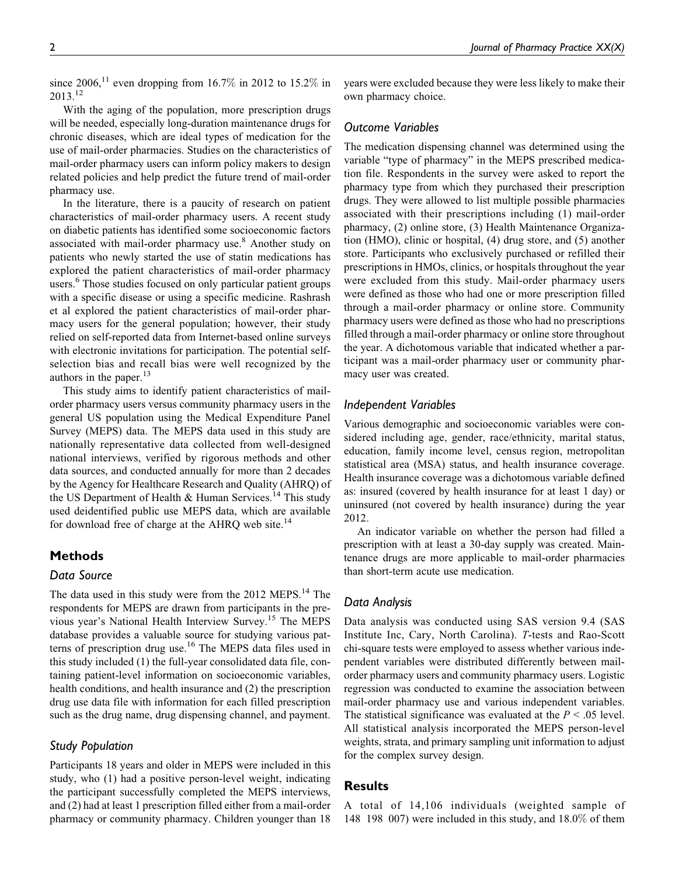since  $2006$ ,<sup>11</sup> even dropping from 16.7% in 2012 to 15.2% in 2013.<sup>12</sup>

With the aging of the population, more prescription drugs will be needed, especially long-duration maintenance drugs for chronic diseases, which are ideal types of medication for the use of mail-order pharmacies. Studies on the characteristics of mail-order pharmacy users can inform policy makers to design related policies and help predict the future trend of mail-order pharmacy use.

In the literature, there is a paucity of research on patient characteristics of mail-order pharmacy users. A recent study on diabetic patients has identified some socioeconomic factors associated with mail-order pharmacy use.<sup>8</sup> Another study on patients who newly started the use of statin medications has explored the patient characteristics of mail-order pharmacy users.<sup>6</sup> Those studies focused on only particular patient groups with a specific disease or using a specific medicine. Rashrash et al explored the patient characteristics of mail-order pharmacy users for the general population; however, their study relied on self-reported data from Internet-based online surveys with electronic invitations for participation. The potential selfselection bias and recall bias were well recognized by the authors in the paper.<sup>13</sup>

This study aims to identify patient characteristics of mailorder pharmacy users versus community pharmacy users in the general US population using the Medical Expenditure Panel Survey (MEPS) data. The MEPS data used in this study are nationally representative data collected from well-designed national interviews, verified by rigorous methods and other data sources, and conducted annually for more than 2 decades by the Agency for Healthcare Research and Quality (AHRQ) of the US Department of Health  $&$  Human Services.<sup>14</sup> This study used deidentified public use MEPS data, which are available for download free of charge at the AHRQ web site. $14$ 

# Methods

#### Data Source

The data used in this study were from the 2012 MEPS.<sup>14</sup> The respondents for MEPS are drawn from participants in the previous year's National Health Interview Survey.<sup>15</sup> The MEPS database provides a valuable source for studying various patterns of prescription drug use.<sup>16</sup> The MEPS data files used in this study included (1) the full-year consolidated data file, containing patient-level information on socioeconomic variables, health conditions, and health insurance and (2) the prescription drug use data file with information for each filled prescription such as the drug name, drug dispensing channel, and payment.

# Study Population

Participants 18 years and older in MEPS were included in this study, who (1) had a positive person-level weight, indicating the participant successfully completed the MEPS interviews, and (2) had at least 1 prescription filled either from a mail-order pharmacy or community pharmacy. Children younger than 18

years were excluded because they were less likely to make their own pharmacy choice.

## Outcome Variables

The medication dispensing channel was determined using the variable "type of pharmacy" in the MEPS prescribed medication file. Respondents in the survey were asked to report the pharmacy type from which they purchased their prescription drugs. They were allowed to list multiple possible pharmacies associated with their prescriptions including (1) mail-order pharmacy, (2) online store, (3) Health Maintenance Organization (HMO), clinic or hospital, (4) drug store, and (5) another store. Participants who exclusively purchased or refilled their prescriptions in HMOs, clinics, or hospitals throughout the year were excluded from this study. Mail-order pharmacy users were defined as those who had one or more prescription filled through a mail-order pharmacy or online store. Community pharmacy users were defined as those who had no prescriptions filled through a mail-order pharmacy or online store throughout the year. A dichotomous variable that indicated whether a participant was a mail-order pharmacy user or community pharmacy user was created.

## Independent Variables

Various demographic and socioeconomic variables were considered including age, gender, race/ethnicity, marital status, education, family income level, census region, metropolitan statistical area (MSA) status, and health insurance coverage. Health insurance coverage was a dichotomous variable defined as: insured (covered by health insurance for at least 1 day) or uninsured (not covered by health insurance) during the year 2012.

An indicator variable on whether the person had filled a prescription with at least a 30-day supply was created. Maintenance drugs are more applicable to mail-order pharmacies than short-term acute use medication.

# Data Analysis

Data analysis was conducted using SAS version 9.4 (SAS Institute Inc, Cary, North Carolina). T-tests and Rao-Scott chi-square tests were employed to assess whether various independent variables were distributed differently between mailorder pharmacy users and community pharmacy users. Logistic regression was conducted to examine the association between mail-order pharmacy use and various independent variables. The statistical significance was evaluated at the  $P < .05$  level. All statistical analysis incorporated the MEPS person-level weights, strata, and primary sampling unit information to adjust for the complex survey design.

# Results

A total of 14,106 individuals (weighted sample of 148 198 007) were included in this study, and 18.0% of them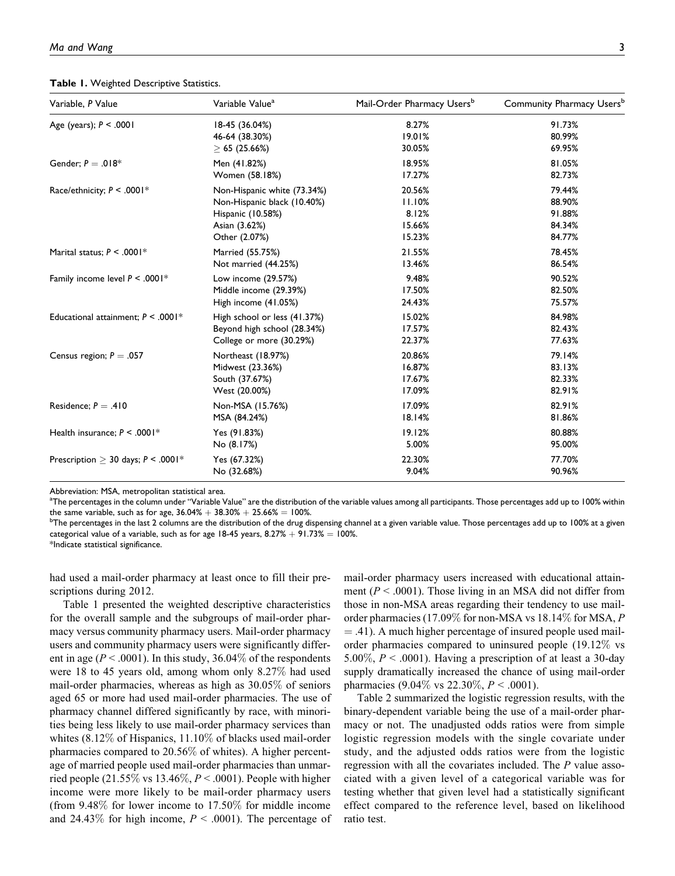Table 1. Weighted Descriptive Statistics.

| Variable, P Value                                | Variable Value <sup>a</sup>  | Mail-Order Pharmacy Users <sup>b</sup> | Community Pharmacy Users <sup>b</sup> |
|--------------------------------------------------|------------------------------|----------------------------------------|---------------------------------------|
| Age (years); $P < .0001$                         | 18-45 (36.04%)               | 8.27%                                  | 91.73%                                |
|                                                  | 46-64 (38.30%)               | 19.01%                                 | 80.99%                                |
|                                                  | $\geq 65$ (25.66%)           | 30.05%                                 | 69.95%                                |
| Gender; $P = .018*$                              | Men (41.82%)                 | 18.95%                                 | 81.05%                                |
|                                                  | Women (58.18%)               | 17.27%                                 | 82.73%                                |
| Race/ethnicity; $P < .0001*$                     | Non-Hispanic white (73.34%)  | 20.56%                                 | 79.44%                                |
|                                                  | Non-Hispanic black (10.40%)  | 11.10%                                 | 88.90%                                |
|                                                  | Hispanic (10.58%)            | 8.12%                                  | 91.88%                                |
|                                                  | Asian (3.62%)                | 15.66%                                 | 84.34%                                |
|                                                  | Other (2.07%)                | 15.23%                                 | 84.77%                                |
| Marital status: $P < .0001*$                     | Married (55.75%)             | 21.55%                                 | 78.45%                                |
|                                                  | Not married (44.25%)         | 13.46%                                 | 86.54%                                |
| Family income level $P < .0001*$                 | Low income (29.57%)          | 9.48%                                  | 90.52%                                |
|                                                  | Middle income (29.39%)       | 17.50%                                 | 82.50%                                |
|                                                  | High income (41.05%)         | 24.43%                                 | 75.57%                                |
| Educational attainment; $P < .0001$ <sup>*</sup> | High school or less (41.37%) | 15.02%                                 | 84.98%                                |
|                                                  | Beyond high school (28.34%)  | 17.57%                                 | 82.43%                                |
|                                                  | College or more (30.29%)     | 22.37%                                 | 77.63%                                |
| Census region; $P = .057$                        | Northeast (18.97%)           | 20.86%                                 | 79.14%                                |
|                                                  | Midwest (23.36%)             | 16.87%                                 | 83.13%                                |
|                                                  | South (37.67%)               | 17.67%                                 | 82.33%                                |
|                                                  | West (20.00%)                | 17.09%                                 | 82.91%                                |
| Residence; $P = .410$                            | Non-MSA (15.76%)             | 17.09%                                 | 82.91%                                |
|                                                  | MSA (84.24%)                 | 18.14%                                 | 81.86%                                |
| Health insurance; $P < .0001*$                   | Yes (91.83%)                 | 19.12%                                 | 80.88%                                |
|                                                  | No (8.17%)                   | 5.00%                                  | 95.00%                                |
| Prescription $>$ 30 days; P < .0001*             | Yes (67.32%)                 | 22.30%                                 | 77.70%                                |
|                                                  | No (32.68%)                  | 9.04%                                  | 90.96%                                |

Abbreviation: MSA, metropolitan statistical area.

<sup>a</sup>The percentages in the column under "Variable Value" are the distribution of the variable values among all participants. Those percentages add up to 100% within the same variable, such as for age,  $36.04% + 38.30% + 25.66% = 100%$ .

 $b$ The percentages in the last 2 columns are the distribution of the drug dispensing channel at a given variable value. Those percentages add up to 100% at a given categorical value of a variable, such as for age 18-45 years,  $8.27% + 91.73% = 100%$ .

\*Indicate statistical significance.

had used a mail-order pharmacy at least once to fill their prescriptions during 2012.

Table 1 presented the weighted descriptive characteristics for the overall sample and the subgroups of mail-order pharmacy versus community pharmacy users. Mail-order pharmacy users and community pharmacy users were significantly different in age ( $P < .0001$ ). In this study, 36.04% of the respondents were 18 to 45 years old, among whom only 8.27% had used mail-order pharmacies, whereas as high as 30.05% of seniors aged 65 or more had used mail-order pharmacies. The use of pharmacy channel differed significantly by race, with minorities being less likely to use mail-order pharmacy services than whites (8.12% of Hispanics, 11.10% of blacks used mail-order pharmacies compared to 20.56% of whites). A higher percentage of married people used mail-order pharmacies than unmarried people (21.55% vs 13.46%,  $P < .0001$ ). People with higher income were more likely to be mail-order pharmacy users (from 9.48% for lower income to 17.50% for middle income and 24.43% for high income,  $P < .0001$ ). The percentage of mail-order pharmacy users increased with educational attainment ( $P < .0001$ ). Those living in an MSA did not differ from those in non-MSA areas regarding their tendency to use mailorder pharmacies (17.09% for non-MSA vs 18.14% for MSA, P  $=$  .41). A much higher percentage of insured people used mailorder pharmacies compared to uninsured people (19.12% vs 5.00%,  $P < .0001$ ). Having a prescription of at least a 30-day supply dramatically increased the chance of using mail-order pharmacies (9.04% vs 22.30%,  $P < .0001$ ).

Table 2 summarized the logistic regression results, with the binary-dependent variable being the use of a mail-order pharmacy or not. The unadjusted odds ratios were from simple logistic regression models with the single covariate under study, and the adjusted odds ratios were from the logistic regression with all the covariates included. The P value associated with a given level of a categorical variable was for testing whether that given level had a statistically significant effect compared to the reference level, based on likelihood ratio test.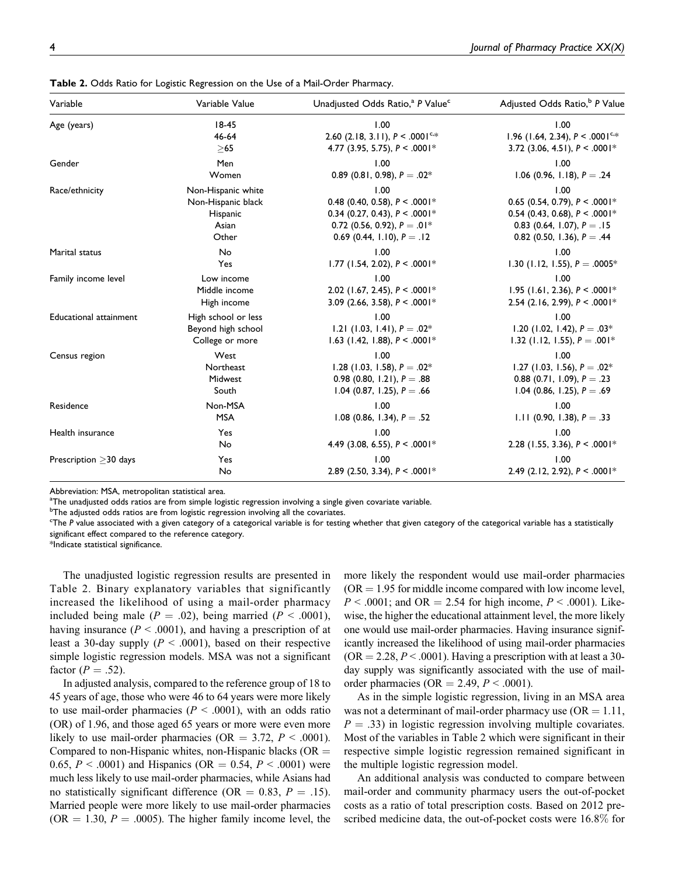| Variable                      | Variable Value      | Unadjusted Odds Ratio, <sup>a</sup> P Value <sup>c</sup> | Adjusted Odds Ratio, <sup>b</sup> P Value    |
|-------------------------------|---------------------|----------------------------------------------------------|----------------------------------------------|
| Age (years)                   | $18-45$<br>46-64    | 1.00<br>2.60 (2.18, 3.11), $P < .0001^{c,*}$             | 1.00<br>1.96 (1.64, 2.34), $P < .0001^{c,*}$ |
|                               | >65                 | 4.77 (3.95, 5.75), $P < .0001*$                          | 3.72 (3.06, 4.51), $P < .0001*$              |
| Gender                        | Men                 | 1.00                                                     | 1.00                                         |
|                               | Women               | 0.89 (0.81, 0.98), $P = .02^*$                           | 1.06 (0.96, 1.18), $P = .24$                 |
| Race/ethnicity                | Non-Hispanic white  | 1.00                                                     | 1.00                                         |
|                               | Non-Hispanic black  | 0.48 (0.40, 0.58), $P < .0001*$                          | 0.65 (0.54, 0.79), $P < .0001*$              |
|                               | Hispanic            | 0.34 (0.27, 0.43), $P < .0001*$                          | 0.54 (0.43, 0.68), $P < .0001*$              |
|                               | Asian               | 0.72 (0.56, 0.92), $P = .01*$                            | 0.83 (0.64, 1.07), $P = .15$                 |
|                               | Other               | 0.69 (0.44, 1.10), $P = .12$                             | 0.82 (0.50, 1.36), $P = .44$                 |
| Marital status                | No                  | 1.00                                                     | 1.00                                         |
|                               | Yes                 | 1.77 (1.54, 2.02), $P < .0001*$                          | 1.30 (1.12, 1.55), $P = .0005*$              |
| Family income level           | Low income          | 1.00                                                     | 1.00                                         |
|                               | Middle income       | 2.02 (1.67, 2.45), $P < .0001*$                          | 1.95 (1.61, 2.36), $P < .0001*$              |
|                               | High income         | 3.09 (2.66, 3.58), $P < .0001*$                          | 2.54 (2.16, 2.99), $P < .0001*$              |
| <b>Educational attainment</b> | High school or less | 1.00                                                     | 1.00                                         |
|                               | Beyond high school  | 1.21 (1.03, 1.41), $P = .02^*$                           | 1.20 (1.02, 1.42), $P = .03*$                |
|                               | College or more     | 1.63 (1.42, 1.88), $P < .0001*$                          | 1.32 (1.12, 1.55), $P = .001*$               |
| Census region                 | West                | 1.00                                                     | 1.00                                         |
|                               | Northeast           | 1.28 (1.03, 1.58), $P = .02^*$                           | 1.27 (1.03, 1.56), $P = .02^*$               |
|                               | Midwest             | 0.98 (0.80, 1.21), $P = .88$                             | 0.88 (0.71, 1.09), $P = .23$                 |
|                               | South               | 1.04 (0.87, 1.25), $P = .66$                             | 1.04 (0.86, 1.25), $P = .69$                 |
| Residence                     | Non-MSA             | 1.00                                                     | 1.00                                         |
|                               | <b>MSA</b>          | 1.08 (0.86, 1.34), $P = .52$                             | 1.11 (0.90, 1.38), $P = .33$                 |
| Health insurance              | Yes                 | 1.00                                                     | 1.00                                         |
|                               | No                  | 4.49 (3.08, 6.55), $P < .0001*$                          | 2.28 (1.55, 3.36), $P < .0001*$              |
| Prescription > 30 days        | Yes                 | 1.00                                                     | 1.00                                         |
|                               | No                  | 2.89 (2.50, 3.34), $P < .0001*$                          | 2.49 (2.12, 2.92), $P < .0001*$              |

Table 2. Odds Ratio for Logistic Regression on the Use of a Mail-Order Pharmacy.

Abbreviation: MSA, metropolitan statistical area.

<sup>a</sup>The unadjusted odds ratios are from simple logistic regression involving a single given covariate variable.

<sup>b</sup>The adjusted odds ratios are from logistic regression involving all the covariates.

c The P value associated with a given category of a categorical variable is for testing whether that given category of the categorical variable has a statistically significant effect compared to the reference category.

\*Indicate statistical significance.

The unadjusted logistic regression results are presented in Table 2. Binary explanatory variables that significantly increased the likelihood of using a mail-order pharmacy included being male ( $P = .02$ ), being married ( $P < .0001$ ), having insurance ( $P < .0001$ ), and having a prescription of at least a 30-day supply ( $P < .0001$ ), based on their respective simple logistic regression models. MSA was not a significant factor ( $P = .52$ ).

In adjusted analysis, compared to the reference group of 18 to 45 years of age, those who were 46 to 64 years were more likely to use mail-order pharmacies ( $P < .0001$ ), with an odds ratio (OR) of 1.96, and those aged 65 years or more were even more likely to use mail-order pharmacies (OR  $=$  3.72,  $P \lt 0.0001$ ). Compared to non-Hispanic whites, non-Hispanic blacks ( $OR =$ 0.65,  $P < .0001$ ) and Hispanics (OR = 0.54,  $P < .0001$ ) were much less likely to use mail-order pharmacies, while Asians had no statistically significant difference (OR = 0.83,  $P = .15$ ). Married people were more likely to use mail-order pharmacies  $(OR = 1.30, P = .0005)$ . The higher family income level, the

more likely the respondent would use mail-order pharmacies  $(OR = 1.95$  for middle income compared with low income level,  $P < .0001$ ; and OR = 2.54 for high income,  $P < .0001$ ). Likewise, the higher the educational attainment level, the more likely one would use mail-order pharmacies. Having insurance significantly increased the likelihood of using mail-order pharmacies  $(OR = 2.28, P < .0001)$ . Having a prescription with at least a 30day supply was significantly associated with the use of mailorder pharmacies (OR = 2.49,  $P < .0001$ ).

As in the simple logistic regression, living in an MSA area was not a determinant of mail-order pharmacy use  $(OR = 1.11,$  $P = .33$ ) in logistic regression involving multiple covariates. Most of the variables in Table 2 which were significant in their respective simple logistic regression remained significant in the multiple logistic regression model.

An additional analysis was conducted to compare between mail-order and community pharmacy users the out-of-pocket costs as a ratio of total prescription costs. Based on 2012 prescribed medicine data, the out-of-pocket costs were 16.8% for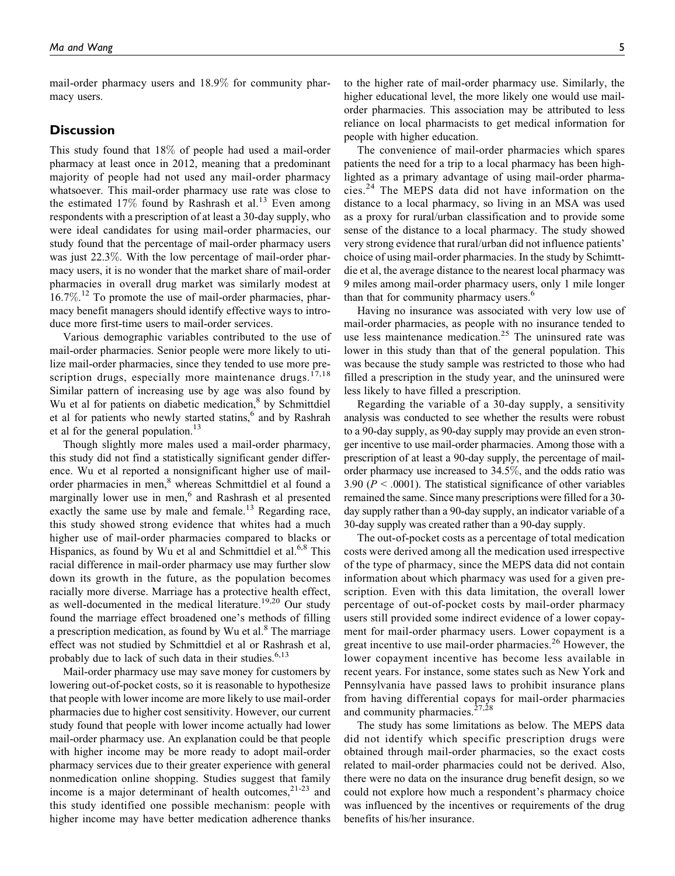mail-order pharmacy users and 18.9% for community pharmacy users.

#### **Discussion**

This study found that 18% of people had used a mail-order pharmacy at least once in 2012, meaning that a predominant majority of people had not used any mail-order pharmacy whatsoever. This mail-order pharmacy use rate was close to the estimated 17% found by Rashrash et al.<sup>13</sup> Even among respondents with a prescription of at least a 30-day supply, who were ideal candidates for using mail-order pharmacies, our study found that the percentage of mail-order pharmacy users was just 22.3%. With the low percentage of mail-order pharmacy users, it is no wonder that the market share of mail-order pharmacies in overall drug market was similarly modest at 16.7%.<sup>12</sup> To promote the use of mail-order pharmacies, pharmacy benefit managers should identify effective ways to introduce more first-time users to mail-order services.

Various demographic variables contributed to the use of mail-order pharmacies. Senior people were more likely to utilize mail-order pharmacies, since they tended to use more prescription drugs, especially more maintenance drugs.<sup>17,18</sup> Similar pattern of increasing use by age was also found by Wu et al for patients on diabetic medication, $8$  by Schmittdiel et al for patients who newly started statins,<sup>6</sup> and by Rashrah et al for the general population.<sup>13</sup>

Though slightly more males used a mail-order pharmacy, this study did not find a statistically significant gender difference. Wu et al reported a nonsignificant higher use of mailorder pharmacies in men,<sup>8</sup> whereas Schmittdiel et al found a marginally lower use in men,<sup>6</sup> and Rashrash et al presented exactly the same use by male and female.<sup>13</sup> Regarding race, this study showed strong evidence that whites had a much higher use of mail-order pharmacies compared to blacks or Hispanics, as found by Wu et al and Schmittdiel et al.<sup>6,8</sup> This racial difference in mail-order pharmacy use may further slow down its growth in the future, as the population becomes racially more diverse. Marriage has a protective health effect, as well-documented in the medical literature.<sup>19,20</sup> Our study found the marriage effect broadened one's methods of filling a prescription medication, as found by Wu et  $al.^{8}$  The marriage effect was not studied by Schmittdiel et al or Rashrash et al, probably due to lack of such data in their studies. $6,13$ 

Mail-order pharmacy use may save money for customers by lowering out-of-pocket costs, so it is reasonable to hypothesize that people with lower income are more likely to use mail-order pharmacies due to higher cost sensitivity. However, our current study found that people with lower income actually had lower mail-order pharmacy use. An explanation could be that people with higher income may be more ready to adopt mail-order pharmacy services due to their greater experience with general nonmedication online shopping. Studies suggest that family income is a major determinant of health outcomes,  $2^{1-23}$  and this study identified one possible mechanism: people with higher income may have better medication adherence thanks

to the higher rate of mail-order pharmacy use. Similarly, the higher educational level, the more likely one would use mailorder pharmacies. This association may be attributed to less reliance on local pharmacists to get medical information for people with higher education.

The convenience of mail-order pharmacies which spares patients the need for a trip to a local pharmacy has been highlighted as a primary advantage of using mail-order pharmacies.<sup>24</sup> The MEPS data did not have information on the distance to a local pharmacy, so living in an MSA was used as a proxy for rural/urban classification and to provide some sense of the distance to a local pharmacy. The study showed very strong evidence that rural/urban did not influence patients' choice of using mail-order pharmacies. In the study by Schimttdie et al, the average distance to the nearest local pharmacy was 9 miles among mail-order pharmacy users, only 1 mile longer than that for community pharmacy users.<sup>6</sup>

Having no insurance was associated with very low use of mail-order pharmacies, as people with no insurance tended to use less maintenance medication.<sup>25</sup> The uninsured rate was lower in this study than that of the general population. This was because the study sample was restricted to those who had filled a prescription in the study year, and the uninsured were less likely to have filled a prescription.

Regarding the variable of a 30-day supply, a sensitivity analysis was conducted to see whether the results were robust to a 90-day supply, as 90-day supply may provide an even stronger incentive to use mail-order pharmacies. Among those with a prescription of at least a 90-day supply, the percentage of mailorder pharmacy use increased to 34.5%, and the odds ratio was 3.90 ( $P < .0001$ ). The statistical significance of other variables remained the same. Since many prescriptions were filled for a 30 day supply rather than a 90-day supply, an indicator variable of a 30-day supply was created rather than a 90-day supply.

The out-of-pocket costs as a percentage of total medication costs were derived among all the medication used irrespective of the type of pharmacy, since the MEPS data did not contain information about which pharmacy was used for a given prescription. Even with this data limitation, the overall lower percentage of out-of-pocket costs by mail-order pharmacy users still provided some indirect evidence of a lower copayment for mail-order pharmacy users. Lower copayment is a great incentive to use mail-order pharmacies.<sup>26</sup> However, the lower copayment incentive has become less available in recent years. For instance, some states such as New York and Pennsylvania have passed laws to prohibit insurance plans from having differential copays for mail-order pharmacies and community pharmacies.<sup> $27,28$ </sup>

The study has some limitations as below. The MEPS data did not identify which specific prescription drugs were obtained through mail-order pharmacies, so the exact costs related to mail-order pharmacies could not be derived. Also, there were no data on the insurance drug benefit design, so we could not explore how much a respondent's pharmacy choice was influenced by the incentives or requirements of the drug benefits of his/her insurance.